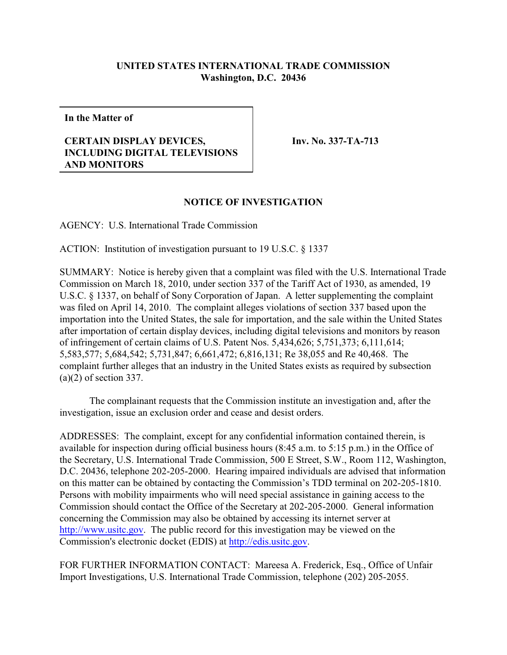## **UNITED STATES INTERNATIONAL TRADE COMMISSION Washington, D.C. 20436**

**In the Matter of**

## **CERTAIN DISPLAY DEVICES, INCLUDING DIGITAL TELEVISIONS AND MONITORS**

**Inv. No. 337-TA-713**

## **NOTICE OF INVESTIGATION**

AGENCY: U.S. International Trade Commission

ACTION: Institution of investigation pursuant to 19 U.S.C. § 1337

SUMMARY: Notice is hereby given that a complaint was filed with the U.S. International Trade Commission on March 18, 2010, under section 337 of the Tariff Act of 1930, as amended, 19 U.S.C. § 1337, on behalf of Sony Corporation of Japan. A letter supplementing the complaint was filed on April 14, 2010. The complaint alleges violations of section 337 based upon the importation into the United States, the sale for importation, and the sale within the United States after importation of certain display devices, including digital televisions and monitors by reason of infringement of certain claims of U.S. Patent Nos. 5,434,626; 5,751,373; 6,111,614; 5,583,577; 5,684,542; 5,731,847; 6,661,472; 6,816,131; Re 38,055 and Re 40,468. The complaint further alleges that an industry in the United States exists as required by subsection (a)(2) of section 337.

The complainant requests that the Commission institute an investigation and, after the investigation, issue an exclusion order and cease and desist orders.

ADDRESSES: The complaint, except for any confidential information contained therein, is available for inspection during official business hours (8:45 a.m. to 5:15 p.m.) in the Office of the Secretary, U.S. International Trade Commission, 500 E Street, S.W., Room 112, Washington, D.C. 20436, telephone 202-205-2000. Hearing impaired individuals are advised that information on this matter can be obtained by contacting the Commission's TDD terminal on 202-205-1810. Persons with mobility impairments who will need special assistance in gaining access to the Commission should contact the Office of the Secretary at 202-205-2000. General information concerning the Commission may also be obtained by accessing its internet server at <http://www.usitc.gov>. The public record for this investigation may be viewed on the Commission's electronic docket (EDIS) at<http://edis.usitc.gov>.

FOR FURTHER INFORMATION CONTACT: Mareesa A. Frederick, Esq., Office of Unfair Import Investigations, U.S. International Trade Commission, telephone (202) 205-2055.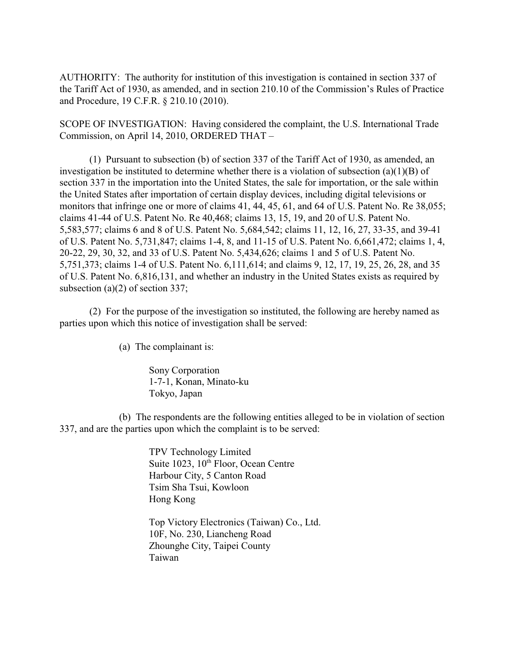AUTHORITY: The authority for institution of this investigation is contained in section 337 of the Tariff Act of 1930, as amended, and in section 210.10 of the Commission's Rules of Practice and Procedure, 19 C.F.R. § 210.10 (2010).

SCOPE OF INVESTIGATION: Having considered the complaint, the U.S. International Trade Commission, on April 14, 2010, ORDERED THAT –

(1) Pursuant to subsection (b) of section 337 of the Tariff Act of 1930, as amended, an investigation be instituted to determine whether there is a violation of subsection (a)(1)(B) of section 337 in the importation into the United States, the sale for importation, or the sale within the United States after importation of certain display devices, including digital televisions or monitors that infringe one or more of claims 41, 44, 45, 61, and 64 of U.S. Patent No. Re 38,055; claims 41-44 of U.S. Patent No. Re 40,468; claims 13, 15, 19, and 20 of U.S. Patent No. 5,583,577; claims 6 and 8 of U.S. Patent No. 5,684,542; claims 11, 12, 16, 27, 33-35, and 39-41 of U.S. Patent No. 5,731,847; claims 1-4, 8, and 11-15 of U.S. Patent No. 6,661,472; claims 1, 4, 20-22, 29, 30, 32, and 33 of U.S. Patent No. 5,434,626; claims 1 and 5 of U.S. Patent No. 5,751,373; claims 1-4 of U.S. Patent No. 6,111,614; and claims 9, 12, 17, 19, 25, 26, 28, and 35 of U.S. Patent No. 6,816,131, and whether an industry in the United States exists as required by subsection (a)(2) of section 337;

(2) For the purpose of the investigation so instituted, the following are hereby named as parties upon which this notice of investigation shall be served:

(a) The complainant is:

Sony Corporation 1-7-1, Konan, Minato-ku Tokyo, Japan

(b) The respondents are the following entities alleged to be in violation of section 337, and are the parties upon which the complaint is to be served:

> TPV Technology Limited Suite 1023,  $10<sup>th</sup>$  Floor, Ocean Centre Harbour City, 5 Canton Road Tsim Sha Tsui, Kowloon Hong Kong

Top Victory Electronics (Taiwan) Co., Ltd. 10F, No. 230, Liancheng Road Zhounghe City, Taipei County Taiwan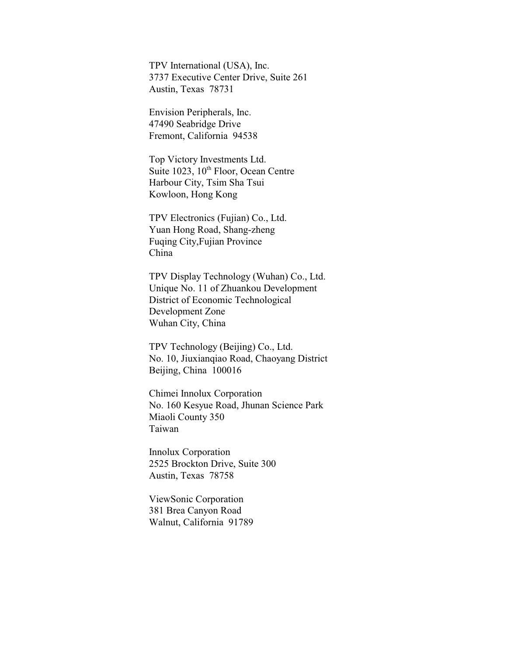TPV International (USA), Inc. 3737 Executive Center Drive, Suite 261 Austin, Texas 78731

Envision Peripherals, Inc. 47490 Seabridge Drive Fremont, California 94538

Top Victory Investments Ltd. Suite  $1023$ ,  $10<sup>th</sup>$  Floor, Ocean Centre Harbour City, Tsim Sha Tsui Kowloon, Hong Kong

TPV Electronics (Fujian) Co., Ltd. Yuan Hong Road, Shang-zheng Fuqing City,Fujian Province China

TPV Display Technology (Wuhan) Co., Ltd. Unique No. 11 of Zhuankou Development District of Economic Technological Development Zone Wuhan City, China

TPV Technology (Beijing) Co., Ltd. No. 10, Jiuxianqiao Road, Chaoyang District Beijing, China 100016

Chimei Innolux Corporation No. 160 Kesyue Road, Jhunan Science Park Miaoli County 350 Taiwan

Innolux Corporation 2525 Brockton Drive, Suite 300 Austin, Texas 78758

ViewSonic Corporation 381 Brea Canyon Road Walnut, California 91789